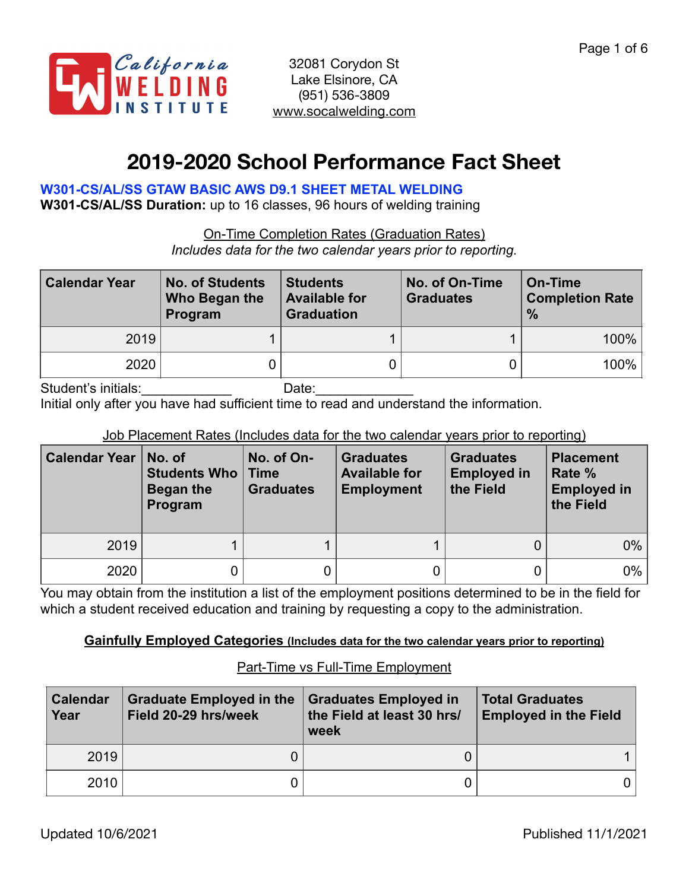

# **2019-2020 School Performance Fact Sheet**

## **W301-CS/AL/SS GTAW BASIC AWS D9.1 SHEET METAL WELDING**

**W301-CS/AL/SS Duration:** up to 16 classes, 96 hours of welding training

On-Time Completion Rates (Graduation Rates) *Includes data for the two calendar years prior to reporting.*

| <b>Calendar Year</b> | <b>No. of Students</b><br>Who Began the<br>Program | <b>Students</b><br><b>Available for</b><br><b>Graduation</b> | No. of On-Time<br><b>Graduates</b> | <b>On-Time</b><br><b>Completion Rate</b><br>$\frac{0}{0}$ |
|----------------------|----------------------------------------------------|--------------------------------------------------------------|------------------------------------|-----------------------------------------------------------|
| 2019                 |                                                    |                                                              |                                    | $100\%$                                                   |
| 2020                 |                                                    |                                                              |                                    | $100\%$                                                   |
|                      |                                                    |                                                              |                                    |                                                           |

Student's initials: example and Date:

Initial only after you have had sufficient time to read and understand the information.

### Job Placement Rates (Includes data for the two calendar years prior to reporting)

| <b>Calendar Year</b> | No. of<br><b>Students Who   Time</b><br>Began the<br>Program | No. of On-<br><b>Graduates</b> | <b>Graduates</b><br><b>Available for</b><br><b>Employment</b> | <b>Graduates</b><br><b>Employed in</b><br>the Field | <b>Placement</b><br>Rate %<br><b>Employed in</b><br>the Field |
|----------------------|--------------------------------------------------------------|--------------------------------|---------------------------------------------------------------|-----------------------------------------------------|---------------------------------------------------------------|
| 2019                 |                                                              |                                |                                                               |                                                     | $0\%$                                                         |
| 2020                 | 0.                                                           |                                |                                                               |                                                     | $0\%$                                                         |

You may obtain from the institution a list of the employment positions determined to be in the field for which a student received education and training by requesting a copy to the administration.

### **Gainfully Employed Categories (Includes data for the two calendar years prior to reporting)**

### Part-Time vs Full-Time Employment

| <b>Calendar</b><br>Year | <b>Graduate Employed in the</b><br>Field 20-29 hrs/week | <b>Graduates Employed in</b><br>the Field at least 30 hrs/<br>week | <b>Total Graduates</b><br><b>Employed in the Field</b> |  |
|-------------------------|---------------------------------------------------------|--------------------------------------------------------------------|--------------------------------------------------------|--|
| 2019                    |                                                         |                                                                    |                                                        |  |
| 2010                    |                                                         |                                                                    |                                                        |  |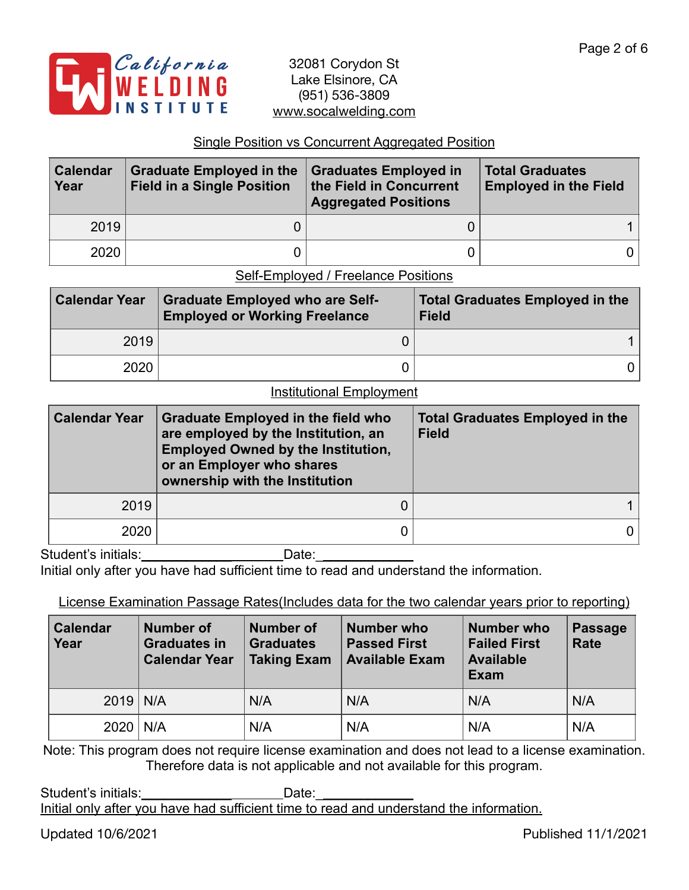

#### Single Position vs Concurrent Aggregated Position

| <b>Calendar</b><br>Year | <b>Graduate Employed in the</b><br><b>Field in a Single Position</b> | Graduates Employed in<br>the Field in Concurrent<br><b>Aggregated Positions</b> | <b>Total Graduates</b><br><b>Employed in the Field</b> |
|-------------------------|----------------------------------------------------------------------|---------------------------------------------------------------------------------|--------------------------------------------------------|
| 2019                    |                                                                      |                                                                                 |                                                        |
| 2020                    |                                                                      |                                                                                 |                                                        |

Self-Employed / Freelance Positions

| <b>Calendar Year</b> | <b>Graduate Employed who are Self-</b><br><b>Employed or Working Freelance</b> | <b>Total Graduates Employed in the</b><br><b>Field</b> |
|----------------------|--------------------------------------------------------------------------------|--------------------------------------------------------|
| 2019                 |                                                                                |                                                        |
| 2020                 |                                                                                |                                                        |

#### Institutional Employment

| <b>Calendar Year</b> | <b>Graduate Employed in the field who</b><br>are employed by the Institution, an<br><b>Employed Owned by the Institution,</b><br>or an Employer who shares<br>ownership with the Institution | <b>Total Graduates Employed in the</b><br><b>Field</b> |  |  |  |
|----------------------|----------------------------------------------------------------------------------------------------------------------------------------------------------------------------------------------|--------------------------------------------------------|--|--|--|
| 2019                 |                                                                                                                                                                                              |                                                        |  |  |  |
| 2020                 |                                                                                                                                                                                              |                                                        |  |  |  |

Student's initials:\_\_\_\_\_\_\_\_\_\_\_\_ Date:\_\_\_\_\_\_\_\_\_\_\_\_\_

Initial only after you have had sufficient time to read and understand the information.

License Examination Passage Rates(Includes data for the two calendar years prior to reporting)

| Calendar<br>Year | Number of<br><b>Graduates in</b><br><b>Calendar Year</b> | <b>Number of</b><br><b>Graduates</b><br><b>Taking Exam</b> | <b>Number who</b><br><b>Passed First</b><br><b>Available Exam</b> | <b>Number who</b><br><b>Failed First</b><br><b>Available</b><br>Exam | Passage<br><b>Rate</b> |
|------------------|----------------------------------------------------------|------------------------------------------------------------|-------------------------------------------------------------------|----------------------------------------------------------------------|------------------------|
| $2019$ N/A       |                                                          | N/A                                                        | N/A                                                               | N/A                                                                  | N/A                    |
| $2020$   N/A     |                                                          | N/A                                                        | N/A                                                               | N/A                                                                  | N/A                    |

Note: This program does not require license examination and does not lead to a license examination. Therefore data is not applicable and not available for this program.

Student's initials: example and Date: Initial only after you have had sufficient time to read and understand the information.

Updated 10/6/2021 Published 11/1/2021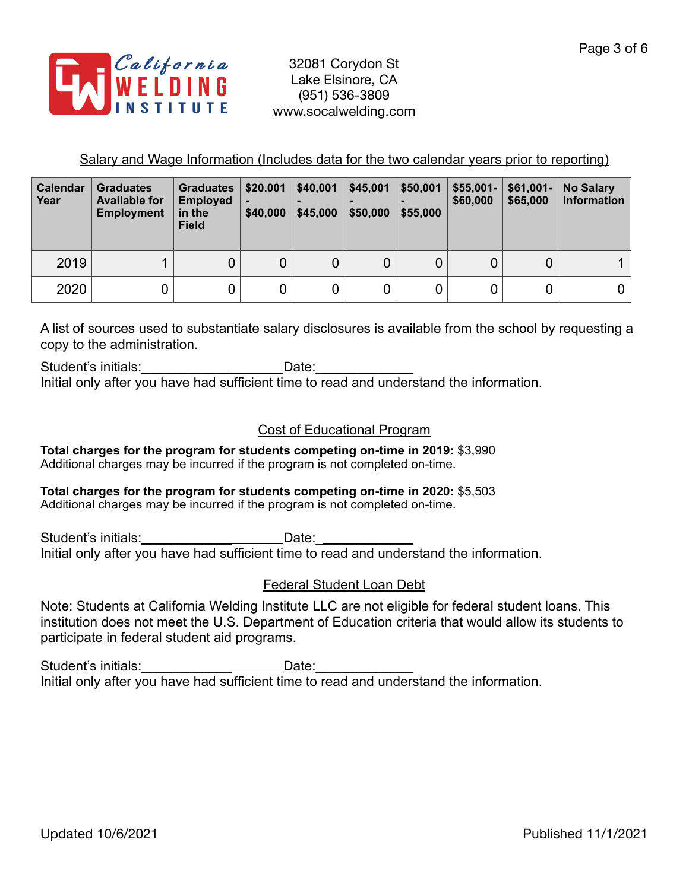

Salary and Wage Information (Includes data for the two calendar years prior to reporting)

| <b>Calendar</b><br>Year | <b>Graduates</b><br><b>Available for</b><br><b>Employment</b> | <b>Graduates</b><br><b>Employed</b><br>in the<br><b>Field</b> | \$20.001<br>\$40,000 | \$40,001<br>\$45,000 | \$45,001<br>\$50,000 | \$50,001<br>\$55,000 | $$55,001-$<br>\$60,000 | $$61,001-$<br>\$65,000 | <b>No Salary</b><br><b>Information</b> |
|-------------------------|---------------------------------------------------------------|---------------------------------------------------------------|----------------------|----------------------|----------------------|----------------------|------------------------|------------------------|----------------------------------------|
| 2019                    |                                                               | 0                                                             | 0                    | 0                    | 0                    |                      |                        | U                      |                                        |
| 2020                    |                                                               |                                                               |                      | 0                    | 0                    |                      |                        |                        |                                        |

A list of sources used to substantiate salary disclosures is available from the school by requesting a copy to the administration.

Student's initials:\_\_\_\_\_\_\_\_\_\_\_\_\_\_\_\_\_\_\_\_\_\_\_\_\_Date: Initial only after you have had sufficient time to read and understand the information.

## Cost of Educational Program

**Total charges for the program for students competing on-time in 2019:** \$3,990 Additional charges may be incurred if the program is not completed on-time.

#### **Total charges for the program for students competing on-time in 2020:** \$5,503 Additional charges may be incurred if the program is not completed on-time.

Student's initials:\_\_\_\_\_\_\_\_\_\_\_\_\_\_\_\_\_\_\_\_\_\_\_\_\_\_Date: \_\_ Initial only after you have had sufficient time to read and understand the information.

## Federal Student Loan Debt

Note: Students at California Welding Institute LLC are not eligible for federal student loans. This institution does not meet the U.S. Department of Education criteria that would allow its students to participate in federal student aid programs.

Student's initials:\_\_\_\_\_\_\_\_\_\_\_\_\_\_\_\_\_\_\_\_\_\_\_Date:\_\_\_\_ Initial only after you have had sufficient time to read and understand the information.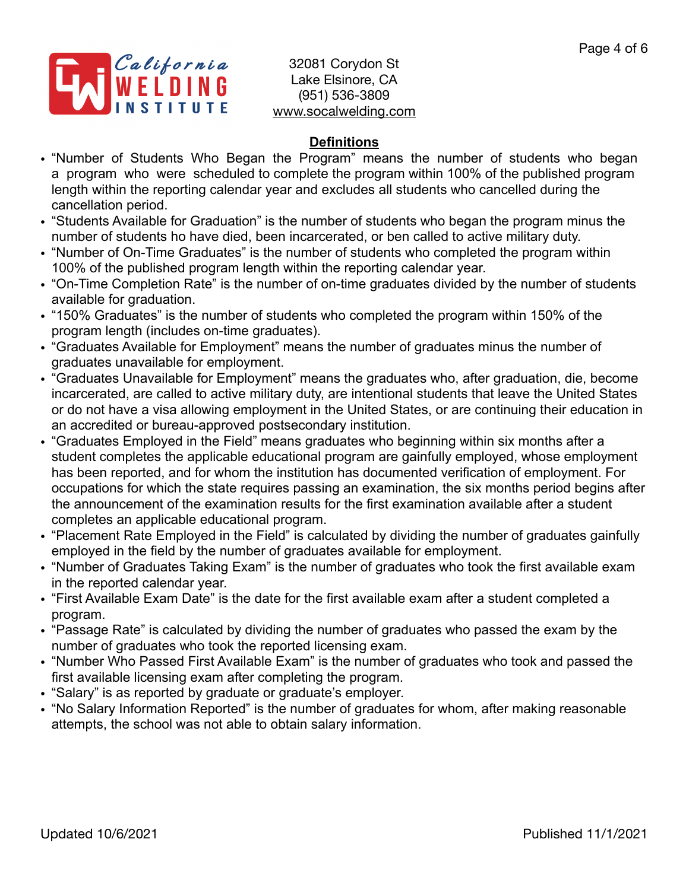

## **Definitions**

- "Number of Students Who Began the Program" means the number of students who began a program who were scheduled to complete the program within 100% of the published program length within the reporting calendar year and excludes all students who cancelled during the cancellation period.
- "Students Available for Graduation" is the number of students who began the program minus the number of students ho have died, been incarcerated, or ben called to active military duty.
- "Number of On-Time Graduates" is the number of students who completed the program within 100% of the published program length within the reporting calendar year.
- "On-Time Completion Rate" is the number of on-time graduates divided by the number of students available for graduation.
- "150% Graduates" is the number of students who completed the program within 150% of the program length (includes on-time graduates).
- "Graduates Available for Employment" means the number of graduates minus the number of graduates unavailable for employment.
- "Graduates Unavailable for Employment" means the graduates who, after graduation, die, become incarcerated, are called to active military duty, are intentional students that leave the United States or do not have a visa allowing employment in the United States, or are continuing their education in an accredited or bureau-approved postsecondary institution.
- "Graduates Employed in the Field" means graduates who beginning within six months after a student completes the applicable educational program are gainfully employed, whose employment has been reported, and for whom the institution has documented verification of employment. For occupations for which the state requires passing an examination, the six months period begins after the announcement of the examination results for the first examination available after a student completes an applicable educational program.
- "Placement Rate Employed in the Field" is calculated by dividing the number of graduates gainfully employed in the field by the number of graduates available for employment.
- "Number of Graduates Taking Exam" is the number of graduates who took the first available exam in the reported calendar year.
- "First Available Exam Date" is the date for the first available exam after a student completed a program.
- "Passage Rate" is calculated by dividing the number of graduates who passed the exam by the number of graduates who took the reported licensing exam.
- "Number Who Passed First Available Exam" is the number of graduates who took and passed the first available licensing exam after completing the program.
- "Salary" is as reported by graduate or graduate's employer.
- "No Salary Information Reported" is the number of graduates for whom, after making reasonable attempts, the school was not able to obtain salary information.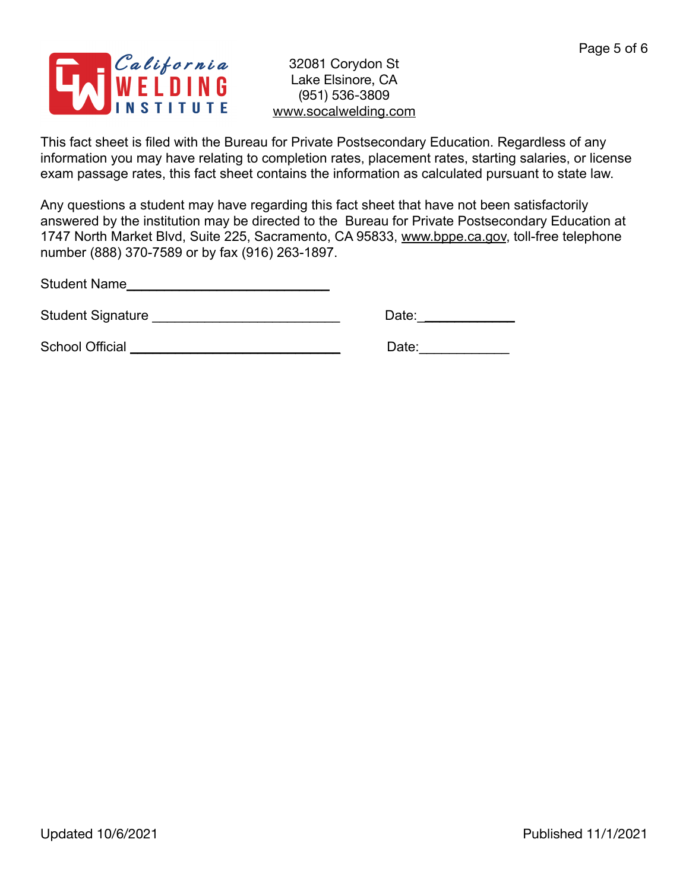

This fact sheet is filed with the Bureau for Private Postsecondary Education. Regardless of any information you may have relating to completion rates, placement rates, starting salaries, or license exam passage rates, this fact sheet contains the information as calculated pursuant to state law.

Any questions a student may have regarding this fact sheet that have not been satisfactorily answered by the institution may be directed to the Bureau for Private Postsecondary Education at 1747 North Market Blvd, Suite 225, Sacramento, CA 95833, [www.bppe.ca.gov](http://www.bppe.ca.gov), toll-free telephone number (888) 370-7589 or by fax (916) 263-1897.

Student Name\_\_\_\_\_\_\_\_\_\_\_\_\_\_\_\_\_\_\_\_\_\_\_\_\_\_\_

Student Signature \_\_\_\_\_\_\_\_\_\_\_\_\_\_\_\_\_\_\_\_\_\_\_\_\_ Date:\_\_\_\_\_\_\_\_\_\_\_\_\_

School Official \_\_\_\_\_\_\_\_\_\_\_\_\_\_\_\_\_\_\_\_\_\_\_\_\_\_\_\_ Date:\_\_\_\_\_\_\_\_\_\_\_\_